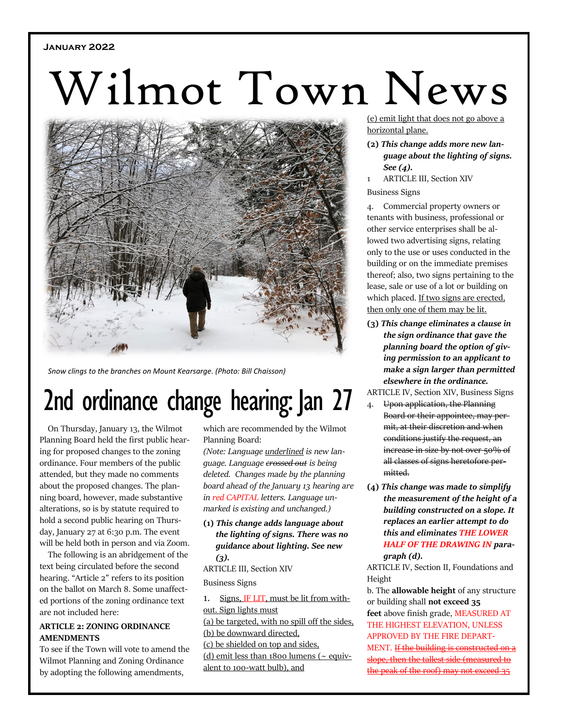# **January 2022**

# Wilmot Town News



*Snow clings to the branches on Mount Kearsarge. (Photo: Bill Chaisson)*

# 2nd ordinance change hearing: Jan 27

On Thursday, January 13, the Wilmot Planning Board held the first public hearing for proposed changes to the zoning ordinance. Four members of the public attended, but they made no comments about the proposed changes. The planning board, however, made substantive alterations, so is by statute required to hold a second public hearing on Thursday, January 27 at 6:30 p.m. The event will be held both in person and via Zoom.

The following is an abridgement of the text being circulated before the second hearing. "Article 2" refers to its position on the ballot on March 8. Some unaffected portions of the zoning ordinance text are not included here:

# **ARTICLE 2: ZONING ORDINANCE AMENDMENTS**

To see if the Town will vote to amend the Wilmot Planning and Zoning Ordinance by adopting the following amendments,

which are recommended by the Wilmot Planning Board:

*(Note: Language underlined is new language. Language crossed out is being deleted. Changes made by the planning board ahead of the January 13 hearing are in red CAPITAL letters. Language unmarked is existing and unchanged.)*

**(1)** *This change adds language about the lighting of signs. There was no guidance about lighting. See new (3).*

ARTICLE III, Section XIV Business Signs

1. Signs, IF LIT, must be lit from without. Sign lights must (a) be targeted, with no spill off the sides, (b) be downward directed, (c) be shielded on top and sides, (d) emit less than 1800 lumens ( $\sim$  equivalent to 100-watt bulb), and

(e) emit light that does not go above a horizontal plane.

- **(2)** *This change adds more new language about the lighting of signs. See (4).*
- 1 ARTICLE III, Section XIV
- Business Signs

4. Commercial property owners or tenants with business, professional or other service enterprises shall be allowed two advertising signs, relating only to the use or uses conducted in the building or on the immediate premises thereof; also, two signs pertaining to the lease, sale or use of a lot or building on which placed. If two signs are erected, then only one of them may be lit.

- **(3)** *This change eliminates a clause in the sign ordinance that gave the planning board the option of giving permission to an applicant to make a sign larger than permitted elsewhere in the ordinance.*
- ARTICLE IV, Section XIV, Business Signs
	- 4. Upon application, the Planning Board or their appointee, may permit, at their discretion and when conditions justify the request, an increase in size by not over 50% of all classes of signs heretofore permitted.
- **(4)** *This change was made to simplify the measurement of the height of a building constructed on a slope. It replaces an earlier attempt to do this and eliminates THE LOWER HALF OF THE DRAWING IN paragraph (d).*

ARTICLE IV, Section II, Foundations and Height

b. The **allowable height** of any structure or building shall **not exceed 35 feet** above finish grade, MEASURED AT THE HIGHEST ELEVATION, UNLESS APPROVED BY THE FIRE DEPART-MENT*.* If the building is constructed on a be, then the tallest side (measured to the peak of the roof) may not exceed 35